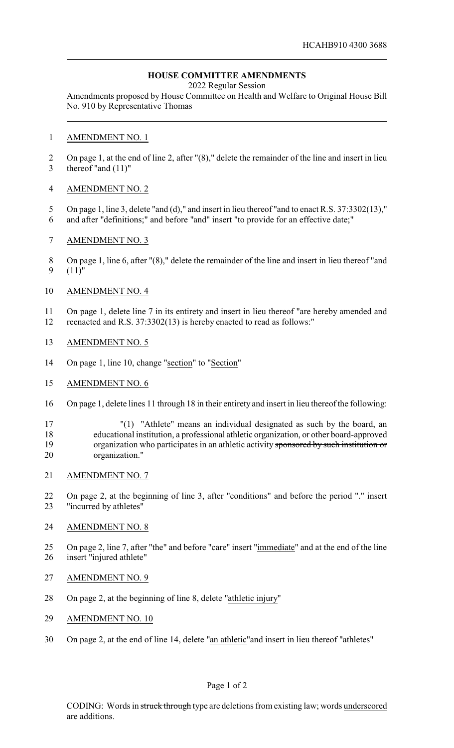# **HOUSE COMMITTEE AMENDMENTS**

2022 Regular Session

Amendments proposed by House Committee on Health and Welfare to Original House Bill No. 910 by Representative Thomas

### AMENDMENT NO. 1

 On page 1, at the end of line 2, after "(8)," delete the remainder of the line and insert in lieu thereof "and (11)"

## AMENDMENT NO. 2

- 5 On page 1, line 3, delete "and (d)," and insert in lieu thereof "and to enact R.S. 37:3302(13),"
- and after "definitions;" and before "and" insert "to provide for an effective date;"
- AMENDMENT NO. 3
- On page 1, line 6, after "(8)," delete the remainder of the line and insert in lieu thereof "and (11)"

## AMENDMENT NO. 4

 On page 1, delete line 7 in its entirety and insert in lieu thereof "are hereby amended and reenacted and R.S. 37:3302(13) is hereby enacted to read as follows:"

## AMENDMENT NO. 5

- 14 On page 1, line 10, change "section" to "Section"
- AMENDMENT NO. 6
- On page 1, delete lines 11 through 18 in their entirety and insert in lieu thereof the following:

17 "(1) "Athlete" means an individual designated as such by the board, an educational institution, a professional athletic organization, or other board-approved 19 organization who participates in an athletic activity sponsored by such institution or organization."

AMENDMENT NO. 7

 On page 2, at the beginning of line 3, after "conditions" and before the period "." insert "incurred by athletes"

#### AMENDMENT NO. 8

- On page 2, line 7, after "the" and before "care" insert "immediate" and at the end of the line insert "injured athlete"
- AMENDMENT NO. 9
- On page 2, at the beginning of line 8, delete "athletic injury"
- AMENDMENT NO. 10
- On page 2, at the end of line 14, delete "an athletic"and insert in lieu thereof "athletes"